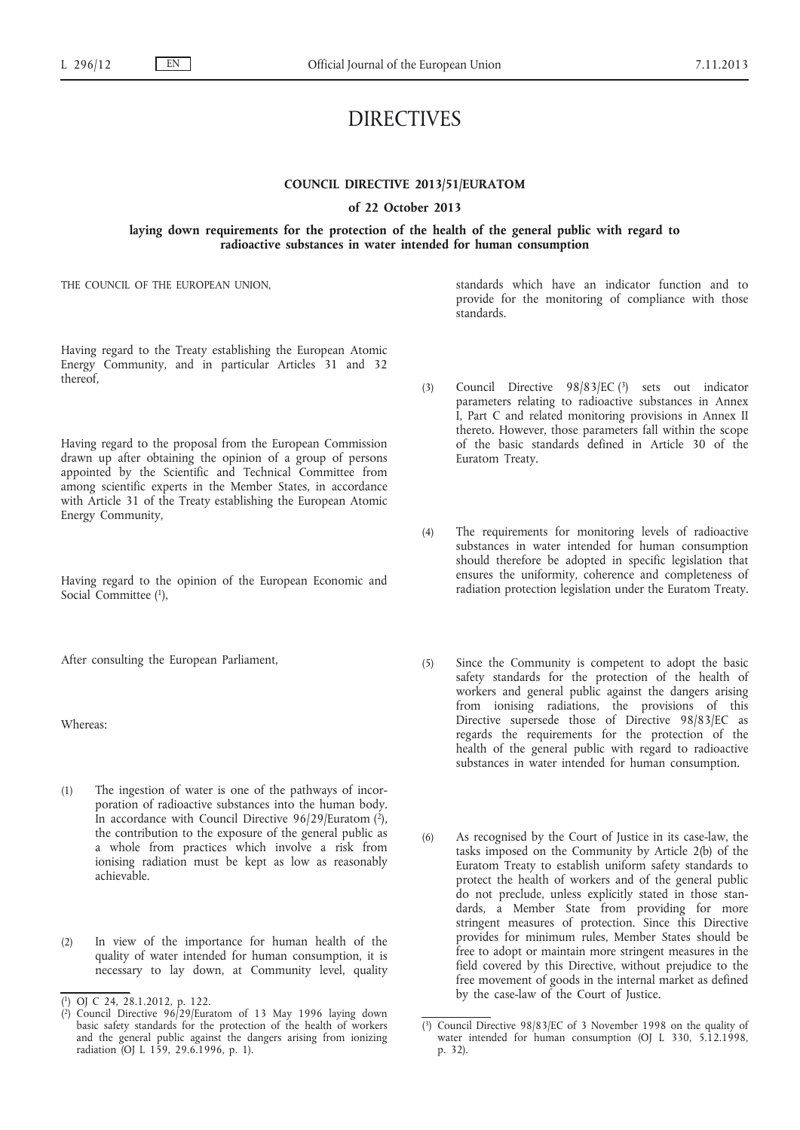# DIRECTIVES

# **COUNCIL DIRECTIVE 2013/51/EURATOM**

### **of 22 October 2013**

**laying down requirements for the protection of the health of the general public with regard to radioactive substances in water intended for human consumption**

THE COUNCIL OF THE EUROPEAN UNION,

standards which have an indicator function and to provide for the monitoring of compliance with those standards.

Having regard to the Treaty establishing the European Atomic Energy Community, and in particular Articles 31 and 32 thereof,

Having regard to the proposal from the European Commission drawn up after obtaining the opinion of a group of persons appointed by the Scientific and Technical Committee from among scientific experts in the Member States, in accordance with Article 31 of the Treaty establishing the European Atomic Energy Community,

Having regard to the opinion of the European Economic and Social Committee (1),

After consulting the European Parliament,

Whereas:

- (1) The ingestion of water is one of the pathways of incorporation of radioactive substances into the human body. In accordance with Council Directive 96/29/Euratom  $(2)$ , the contribution to the exposure of the general public as a whole from practices which involve a risk from ionising radiation must be kept as low as reasonably achievable.
- (2) In view of the importance for human health of the quality of water intended for human consumption, it is necessary to lay down, at Community level, quality
- (3) Council Directive 98/83/EC (3) sets out indicator parameters relating to radioactive substances in Annex I, Part C and related monitoring provisions in Annex II thereto. However, those parameters fall within the scope of the basic standards defined in Article 30 of the Euratom Treaty.
- (4) The requirements for monitoring levels of radioactive substances in water intended for human consumption should therefore be adopted in specific legislation that ensures the uniformity, coherence and completeness of radiation protection legislation under the Euratom Treaty.
- (5) Since the Community is competent to adopt the basic safety standards for the protection of the health of workers and general public against the dangers arising from ionising radiations, the provisions of this Directive supersede those of Directive 98/83/EC as regards the requirements for the protection of the health of the general public with regard to radioactive substances in water intended for human consumption.
- (6) As recognised by the Court of Justice in its case-law, the tasks imposed on the Community by Article 2(b) of the Euratom Treaty to establish uniform safety standards to protect the health of workers and of the general public do not preclude, unless explicitly stated in those standards, a Member State from providing for more stringent measures of protection. Since this Directive provides for minimum rules, Member States should be free to adopt or maintain more stringent measures in the field covered by this Directive, without prejudice to the free movement of goods in the internal market as defined by the case-law of the Court of Justice.

<sup>(</sup> 1) OJ C 24, 28.1.2012, p. 122.

<sup>(</sup> Council Directive  $96/29$ /Euratom of 13 May 1996 laying down basic safety standards for the protection of the health of workers and the general public against the dangers arising from ionizing radiation (OJ L 159, 29.6.1996, p. 1).

<sup>(</sup> 3) Council Directive 98/83/EC of 3 November 1998 on the quality of water intended for human consumption (OJ L 330, 5.12.1998, p. 32).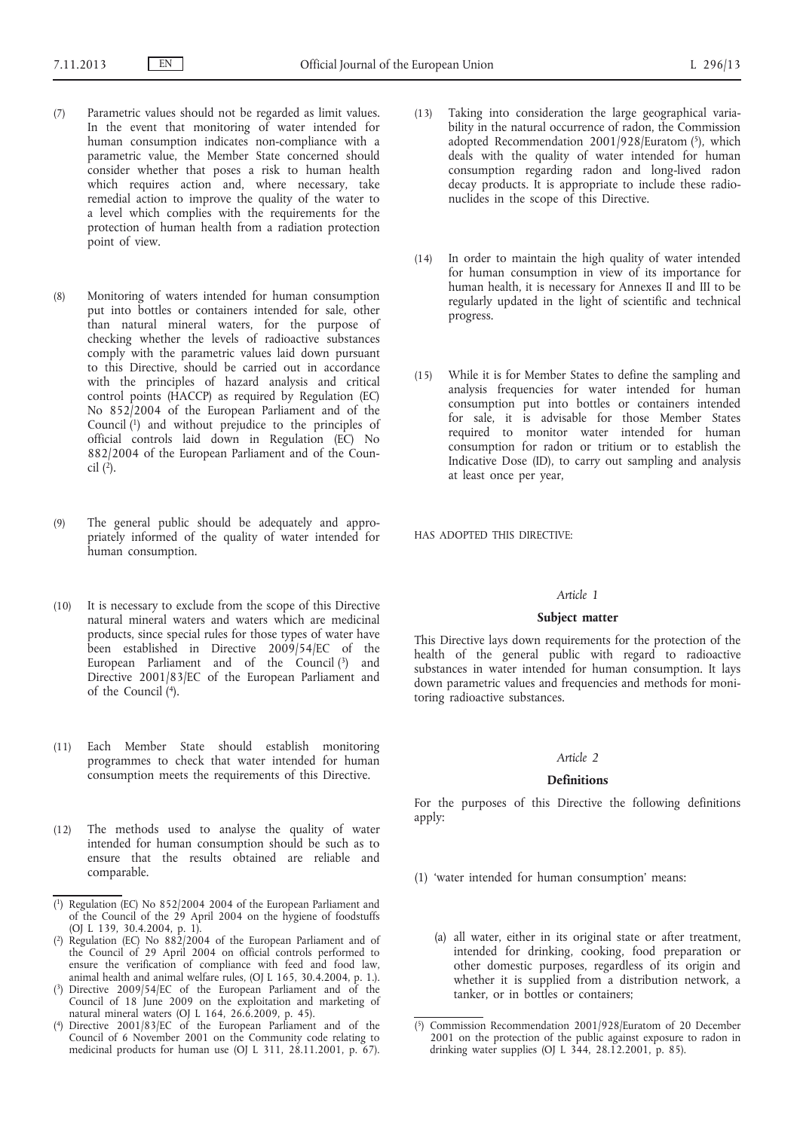- (7) Parametric values should not be regarded as limit values. In the event that monitoring of water intended for human consumption indicates non-compliance with a parametric value, the Member State concerned should consider whether that poses a risk to human health which requires action and, where necessary, take remedial action to improve the quality of the water to a level which complies with the requirements for the protection of human health from a radiation protection point of view.
- (8) Monitoring of waters intended for human consumption put into bottles or containers intended for sale, other than natural mineral waters, for the purpose of checking whether the levels of radioactive substances comply with the parametric values laid down pursuant to this Directive, should be carried out in accordance with the principles of hazard analysis and critical control points (HACCP) as required by Regulation (EC) No 852/2004 of the European Parliament and of the Council (1) and without prejudice to the principles of official controls laid down in Regulation (EC) No 882/2004 of the European Parliament and of the Council  $(2)$ .
- (9) The general public should be adequately and appropriately informed of the quality of water intended for human consumption.
- (10) It is necessary to exclude from the scope of this Directive natural mineral waters and waters which are medicinal products, since special rules for those types of water have been established in Directive 2009/54/EC of the European Parliament and of the Council (3) and Directive 2001/83/EC of the European Parliament and of the Council (4).
- (11) Each Member State should establish monitoring programmes to check that water intended for human consumption meets the requirements of this Directive.
- (12) The methods used to analyse the quality of water intended for human consumption should be such as to ensure that the results obtained are reliable and comparable.
- ( 1) Regulation (EC) No 852/2004 2004 of the European Parliament and of the Council of the 29 April 2004 on the hygiene of foodstuffs (OJ L 139, 30.4.2004, p. 1).
- ( 2) Regulation (EC) No 882/2004 of the European Parliament and of the Council of 29 April 2004 on official controls performed to ensure the verification of compliance with feed and food law, animal health and animal welfare rules, (OJ L 165, 30.4.2004, p. 1.).
- ( 3) Directive 2009/54/EC of the European Parliament and of the Council of 18 June 2009 on the exploitation and marketing of natural mineral waters (OJ L 164, 26.6.2009, p. 45).
- $(4)$ Directive 2001/83/EC of the European Parliament and of the Council of 6 November 2001 on the Community code relating to medicinal products for human use (OJ L 311, 28.11.2001, p. 67).
- (13) Taking into consideration the large geographical variability in the natural occurrence of radon, the Commission adopted Recommendation 2001/928/Euratom (5), which deals with the quality of water intended for human consumption regarding radon and long-lived radon decay products. It is appropriate to include these radionuclides in the scope of this Directive.
- (14) In order to maintain the high quality of water intended for human consumption in view of its importance for human health, it is necessary for Annexes II and III to be regularly updated in the light of scientific and technical progress.
- (15) While it is for Member States to define the sampling and analysis frequencies for water intended for human consumption put into bottles or containers intended for sale, it is advisable for those Member States required to monitor water intended for human consumption for radon or tritium or to establish the Indicative Dose (ID), to carry out sampling and analysis at least once per year,

HAS ADOPTED THIS DIRECTIVE:

# *Article 1*

# **Subject matter**

This Directive lays down requirements for the protection of the health of the general public with regard to radioactive substances in water intended for human consumption. It lays down parametric values and frequencies and methods for monitoring radioactive substances.

# *Article 2*

### **Definitions**

For the purposes of this Directive the following definitions apply:

- (1) 'water intended for human consumption' means:
	- (a) all water, either in its original state or after treatment, intended for drinking, cooking, food preparation or other domestic purposes, regardless of its origin and whether it is supplied from a distribution network, a tanker, or in bottles or containers;

<sup>(</sup> 5) Commission Recommendation 2001/928/Euratom of 20 December 2001 on the protection of the public against exposure to radon in drinking water supplies (OJ L  $344$ , 28.12.2001, p. 85).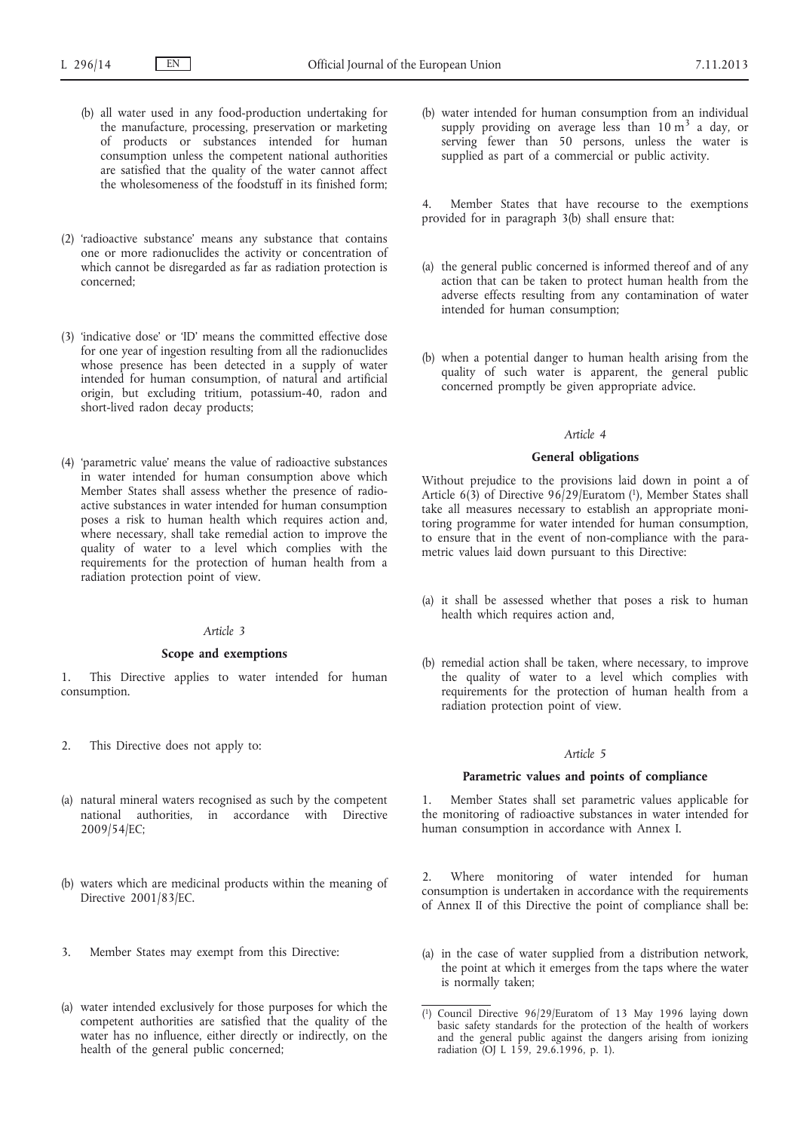- (b) all water used in any food-production undertaking for the manufacture, processing, preservation or marketing of products or substances intended for human consumption unless the competent national authorities are satisfied that the quality of the water cannot affect the wholesomeness of the foodstuff in its finished form;
- (2) 'radioactive substance' means any substance that contains one or more radionuclides the activity or concentration of which cannot be disregarded as far as radiation protection is concerned;
- (3) 'indicative dose' or 'ID' means the committed effective dose for one year of ingestion resulting from all the radionuclides whose presence has been detected in a supply of water intended for human consumption, of natural and artificial origin, but excluding tritium, potassium-40, radon and short-lived radon decay products;
- (4) 'parametric value' means the value of radioactive substances in water intended for human consumption above which Member States shall assess whether the presence of radioactive substances in water intended for human consumption poses a risk to human health which requires action and, where necessary, shall take remedial action to improve the quality of water to a level which complies with the requirements for the protection of human health from a radiation protection point of view.

# *Article 3*

### **Scope and exemptions**

1. This Directive applies to water intended for human consumption.

- 2. This Directive does not apply to:
- (a) natural mineral waters recognised as such by the competent national authorities, in accordance with Directive 2009/54/EC;
- (b) waters which are medicinal products within the meaning of Directive 2001/83/EC.
- 3. Member States may exempt from this Directive:
- (a) water intended exclusively for those purposes for which the competent authorities are satisfied that the quality of the water has no influence, either directly or indirectly, on the health of the general public concerned;

(b) water intended for human consumption from an individual supply providing on average less than  $10 \text{ m}^3$  a day, or serving fewer than 50 persons, unless the water is supplied as part of a commercial or public activity.

4. Member States that have recourse to the exemptions provided for in paragraph 3(b) shall ensure that:

- (a) the general public concerned is informed thereof and of any action that can be taken to protect human health from the adverse effects resulting from any contamination of water intended for human consumption;
- (b) when a potential danger to human health arising from the quality of such water is apparent, the general public concerned promptly be given appropriate advice.

# *Article 4*

### **General obligations**

Without prejudice to the provisions laid down in point a of Article 6(3) of Directive 96/29/Euratom (1), Member States shall take all measures necessary to establish an appropriate monitoring programme for water intended for human consumption, to ensure that in the event of non-compliance with the parametric values laid down pursuant to this Directive:

- (a) it shall be assessed whether that poses a risk to human health which requires action and,
- (b) remedial action shall be taken, where necessary, to improve the quality of water to a level which complies with requirements for the protection of human health from a radiation protection point of view.

### *Article 5*

# **Parametric values and points of compliance**

1. Member States shall set parametric values applicable for the monitoring of radioactive substances in water intended for human consumption in accordance with Annex I.

2. Where monitoring of water intended for human consumption is undertaken in accordance with the requirements of Annex II of this Directive the point of compliance shall be:

(a) in the case of water supplied from a distribution network, the point at which it emerges from the taps where the water is normally taken;

<sup>(</sup> 1) Council Directive 96/29/Euratom of 13 May 1996 laying down basic safety standards for the protection of the health of workers and the general public against the dangers arising from ionizing radiation (OJ L 159, 29.6.1996, p. 1).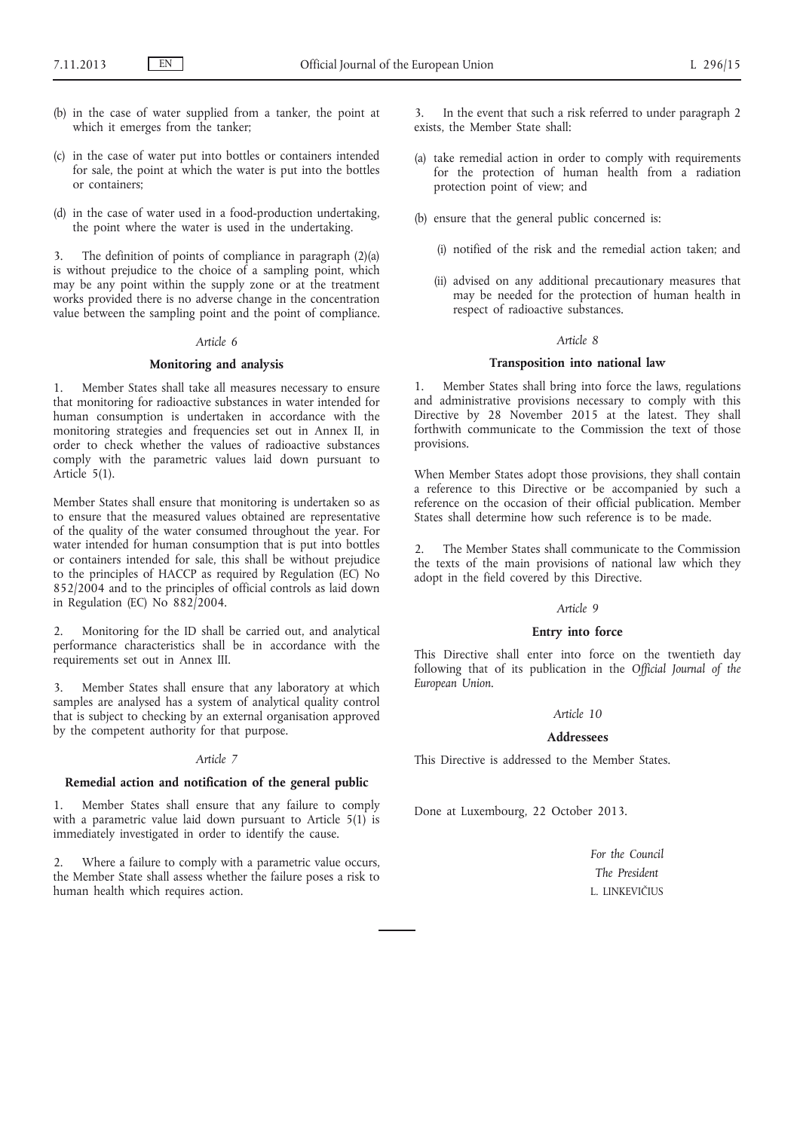- (b) in the case of water supplied from a tanker, the point at which it emerges from the tanker;
- (c) in the case of water put into bottles or containers intended for sale, the point at which the water is put into the bottles or containers;
- (d) in the case of water used in a food-production undertaking, the point where the water is used in the undertaking.

3. The definition of points of compliance in paragraph (2)(a) is without prejudice to the choice of a sampling point, which may be any point within the supply zone or at the treatment works provided there is no adverse change in the concentration value between the sampling point and the point of compliance.

### *Article 6*

### **Monitoring and analysis**

1. Member States shall take all measures necessary to ensure that monitoring for radioactive substances in water intended for human consumption is undertaken in accordance with the monitoring strategies and frequencies set out in Annex II, in order to check whether the values of radioactive substances comply with the parametric values laid down pursuant to Article 5(1).

Member States shall ensure that monitoring is undertaken so as to ensure that the measured values obtained are representative of the quality of the water consumed throughout the year. For water intended for human consumption that is put into bottles or containers intended for sale, this shall be without prejudice to the principles of HACCP as required by Regulation (EC) No 852/2004 and to the principles of official controls as laid down in Regulation (EC) No 882/2004.

2. Monitoring for the ID shall be carried out, and analytical performance characteristics shall be in accordance with the requirements set out in Annex III.

3. Member States shall ensure that any laboratory at which samples are analysed has a system of analytical quality control that is subject to checking by an external organisation approved by the competent authority for that purpose.

### *Article 7*

### **Remedial action and notification of the general public**

1. Member States shall ensure that any failure to comply with a parametric value laid down pursuant to Article  $5(1)$  is immediately investigated in order to identify the cause.

Where a failure to comply with a parametric value occurs, the Member State shall assess whether the failure poses a risk to human health which requires action.

In the event that such a risk referred to under paragraph 2 exists, the Member State shall:

- (a) take remedial action in order to comply with requirements for the protection of human health from a radiation protection point of view; and
- (b) ensure that the general public concerned is:
	- (i) notified of the risk and the remedial action taken; and
	- (ii) advised on any additional precautionary measures that may be needed for the protection of human health in respect of radioactive substances.

# *Article 8*

### **Transposition into national law**

1. Member States shall bring into force the laws, regulations and administrative provisions necessary to comply with this Directive by 28 November 2015 at the latest. They shall forthwith communicate to the Commission the text of those provisions.

When Member States adopt those provisions, they shall contain a reference to this Directive or be accompanied by such a reference on the occasion of their official publication. Member States shall determine how such reference is to be made.

The Member States shall communicate to the Commission the texts of the main provisions of national law which they adopt in the field covered by this Directive.

# *Article 9*

### **Entry into force**

This Directive shall enter into force on the twentieth day following that of its publication in the *Official Journal of the European Union*.

#### *Article 10*

#### **Addressees**

This Directive is addressed to the Member States.

Done at Luxembourg, 22 October 2013.

*For the Council The President* L. LINKEVIČIUS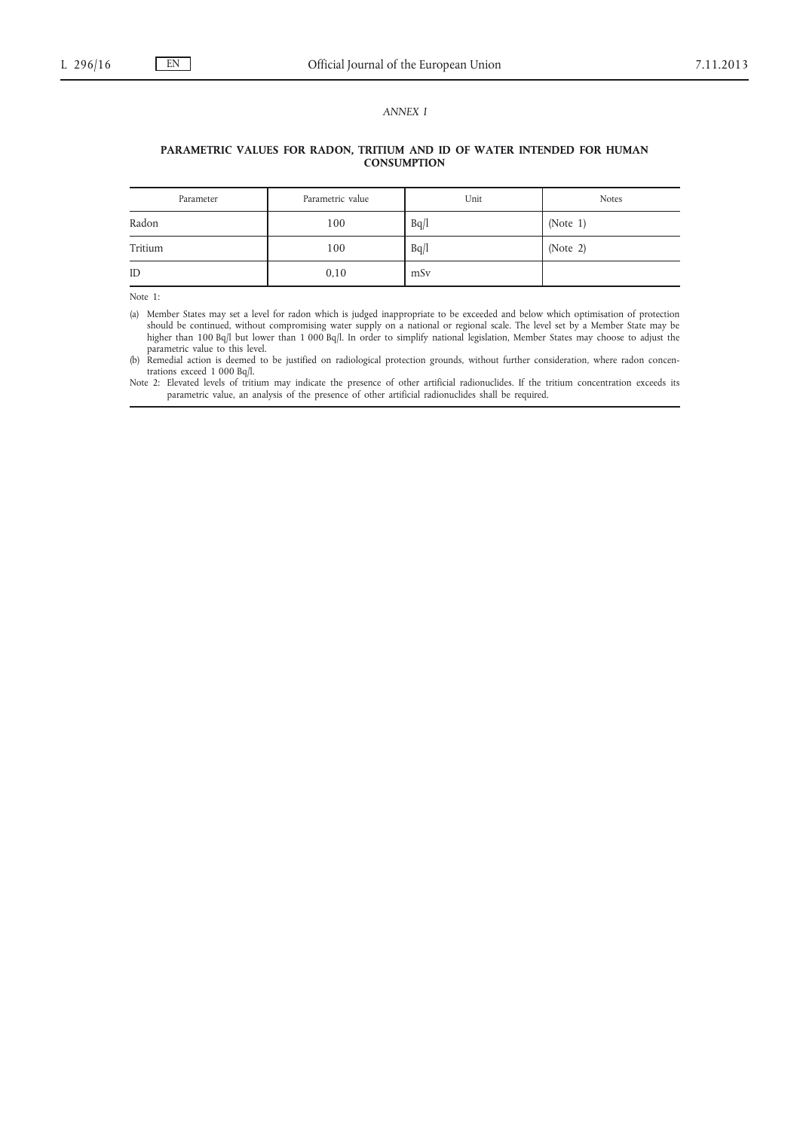# *ANNEX I*

# **PARAMETRIC VALUES FOR RADON, TRITIUM AND ID OF WATER INTENDED FOR HUMAN CONSUMPTION**

| Parameter | Parametric value | Unit | <b>Notes</b> |
|-----------|------------------|------|--------------|
| Radon     | 100              | Bq/l | (Note 1)     |
| Tritium   | 100              | Bq/l | (Note 2)     |
| ID        | 0,10             | mSv  |              |

Note 1:

(a) Member States may set a level for radon which is judged inappropriate to be exceeded and below which optimisation of protection should be continued, without compromising water supply on a national or regional scale. The level set by a Member State may be higher than 100 Bq/l but lower than 1 000 Bq/l. In order to simplify national legislation, Member States may choose to adjust the parametric value to this level.

(b) Remedial action is deemed to be justified on radiological protection grounds, without further consideration, where radon concentrations exceed 1 000 Bq/l.

Note 2: Elevated levels of tritium may indicate the presence of other artificial radionuclides. If the tritium concentration exceeds its parametric value, an analysis of the presence of other artificial radionuclides shall be required.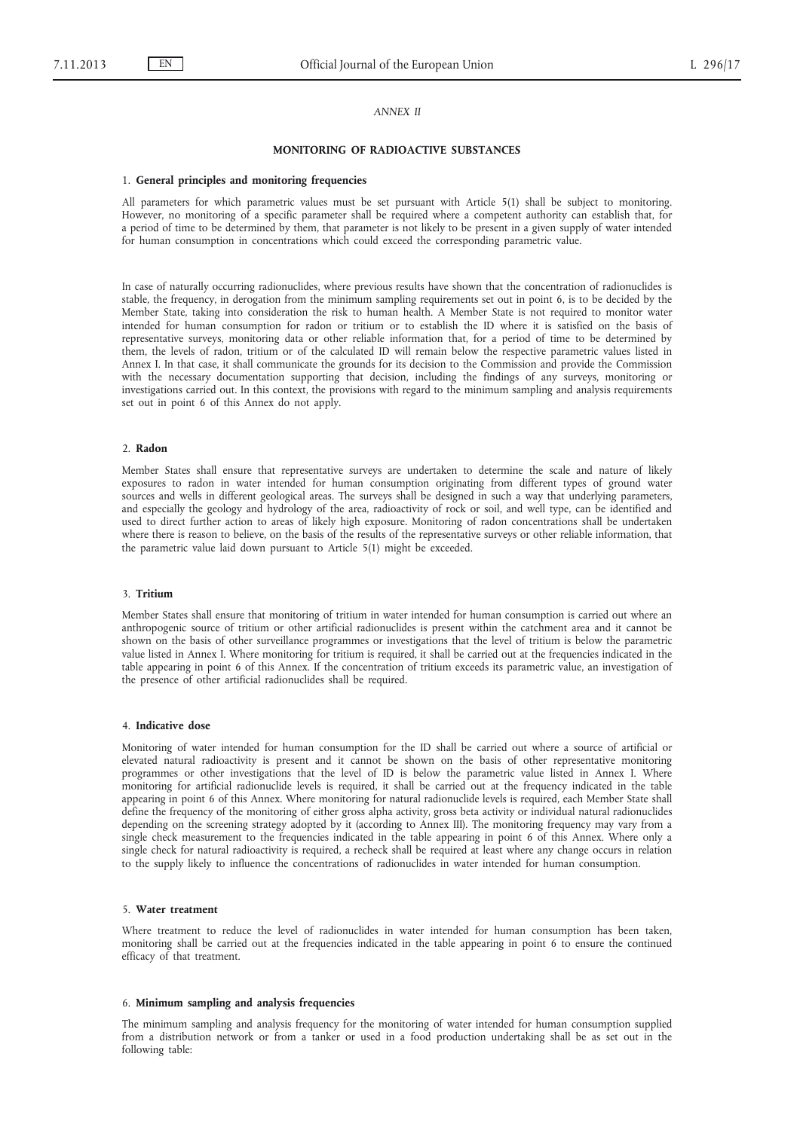### *ANNEX II*

#### **MONITORING OF RADIOACTIVE SUBSTANCES**

#### 1. **General principles and monitoring frequencies**

All parameters for which parametric values must be set pursuant with Article 5(1) shall be subject to monitoring. However, no monitoring of a specific parameter shall be required where a competent authority can establish that, for a period of time to be determined by them, that parameter is not likely to be present in a given supply of water intended for human consumption in concentrations which could exceed the corresponding parametric value.

In case of naturally occurring radionuclides, where previous results have shown that the concentration of radionuclides is stable, the frequency, in derogation from the minimum sampling requirements set out in point 6, is to be decided by the Member State, taking into consideration the risk to human health. A Member State is not required to monitor water intended for human consumption for radon or tritium or to establish the ID where it is satisfied on the basis of representative surveys, monitoring data or other reliable information that, for a period of time to be determined by them, the levels of radon, tritium or of the calculated ID will remain below the respective parametric values listed in Annex I. In that case, it shall communicate the grounds for its decision to the Commission and provide the Commission with the necessary documentation supporting that decision, including the findings of any surveys, monitoring or investigations carried out. In this context, the provisions with regard to the minimum sampling and analysis requirements set out in point 6 of this Annex do not apply.

# 2. **Radon**

Member States shall ensure that representative surveys are undertaken to determine the scale and nature of likely exposures to radon in water intended for human consumption originating from different types of ground water sources and wells in different geological areas. The surveys shall be designed in such a way that underlying parameters, and especially the geology and hydrology of the area, radioactivity of rock or soil, and well type, can be identified and used to direct further action to areas of likely high exposure. Monitoring of radon concentrations shall be undertaken where there is reason to believe, on the basis of the results of the representative surveys or other reliable information, that the parametric value laid down pursuant to Article 5(1) might be exceeded.

#### 3. **Tritium**

Member States shall ensure that monitoring of tritium in water intended for human consumption is carried out where an anthropogenic source of tritium or other artificial radionuclides is present within the catchment area and it cannot be shown on the basis of other surveillance programmes or investigations that the level of tritium is below the parametric value listed in Annex I. Where monitoring for tritium is required, it shall be carried out at the frequencies indicated in the table appearing in point 6 of this Annex. If the concentration of tritium exceeds its parametric value, an investigation of the presence of other artificial radionuclides shall be required.

#### 4. **Indicative dose**

Monitoring of water intended for human consumption for the ID shall be carried out where a source of artificial or elevated natural radioactivity is present and it cannot be shown on the basis of other representative monitoring programmes or other investigations that the level of ID is below the parametric value listed in Annex I. Where monitoring for artificial radionuclide levels is required, it shall be carried out at the frequency indicated in the table appearing in point 6 of this Annex. Where monitoring for natural radionuclide levels is required, each Member State shall define the frequency of the monitoring of either gross alpha activity, gross beta activity or individual natural radionuclides depending on the screening strategy adopted by it (according to Annex III). The monitoring frequency may vary from a single check measurement to the frequencies indicated in the table appearing in point 6 of this Annex. Where only a single check for natural radioactivity is required, a recheck shall be required at least where any change occurs in relation to the supply likely to influence the concentrations of radionuclides in water intended for human consumption.

### 5. **Water treatment**

Where treatment to reduce the level of radionuclides in water intended for human consumption has been taken, monitoring shall be carried out at the frequencies indicated in the table appearing in point 6 to ensure the continued efficacy of that treatment.

### 6. **Minimum sampling and analysis frequencies**

The minimum sampling and analysis frequency for the monitoring of water intended for human consumption supplied from a distribution network or from a tanker or used in a food production undertaking shall be as set out in the following table: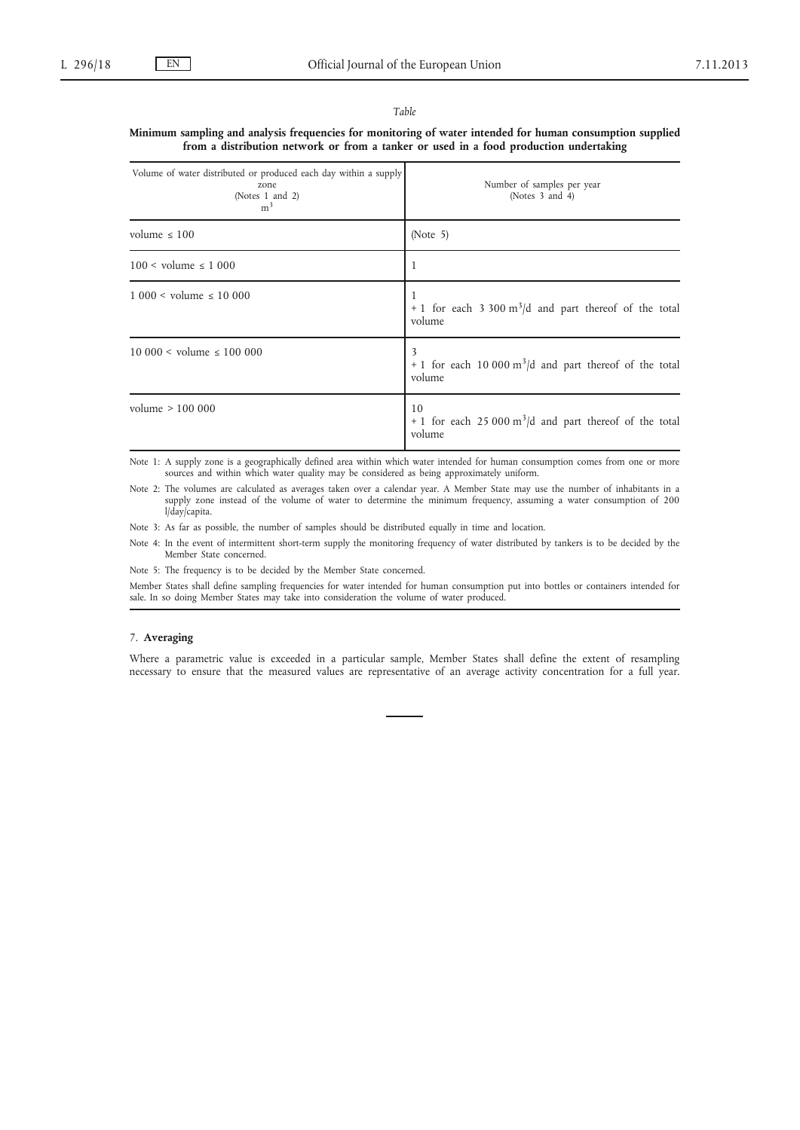#### *Table*

**Minimum sampling and analysis frequencies for monitoring of water intended for human consumption supplied from a distribution network or from a tanker or used in a food production undertaking**

| Volume of water distributed or produced each day within a supply<br>zone<br>(Notes 1 and 2)<br>m <sup>3</sup> | Number of samples per year<br>(Notes 3 and 4)                                           |  |
|---------------------------------------------------------------------------------------------------------------|-----------------------------------------------------------------------------------------|--|
| volume $\leq 100$                                                                                             | (Note $5$ )                                                                             |  |
| $100 \leq$ volume $\leq 1000$                                                                                 | 1                                                                                       |  |
| $1000 <$ volume $\leq 10000$                                                                                  | + 1 for each 3 300 $m^3/d$ and part thereof of the total<br>volume                      |  |
| $10\,000 \leq \text{volume} \leq 100\,000$                                                                    | 3<br>+ 1 for each 10 000 $m^3/d$ and part thereof of the total<br>volume                |  |
| volume $> 100000$                                                                                             | 10<br>+ 1 for each 25 000 $\text{m}^3/\text{d}$ and part thereof of the total<br>volume |  |

Note 1: A supply zone is a geographically defined area within which water intended for human consumption comes from one or more sources and within which water quality may be considered as being approximately uniform.

Note 2: The volumes are calculated as averages taken over a calendar year. A Member State may use the number of inhabitants in a supply zone instead of the volume of water to determine the minimum frequency, assuming a water consumption of 200 l/day/capita.

Note 3: As far as possible, the number of samples should be distributed equally in time and location.

Note 4: In the event of intermittent short-term supply the monitoring frequency of water distributed by tankers is to be decided by the Member State concerned.

Note 5: The frequency is to be decided by the Member State concerned.

Member States shall define sampling frequencies for water intended for human consumption put into bottles or containers intended for sale. In so doing Member States may take into consideration the volume of water produced.

# 7. **Averaging**

Where a parametric value is exceeded in a particular sample, Member States shall define the extent of resampling necessary to ensure that the measured values are representative of an average activity concentration for a full year.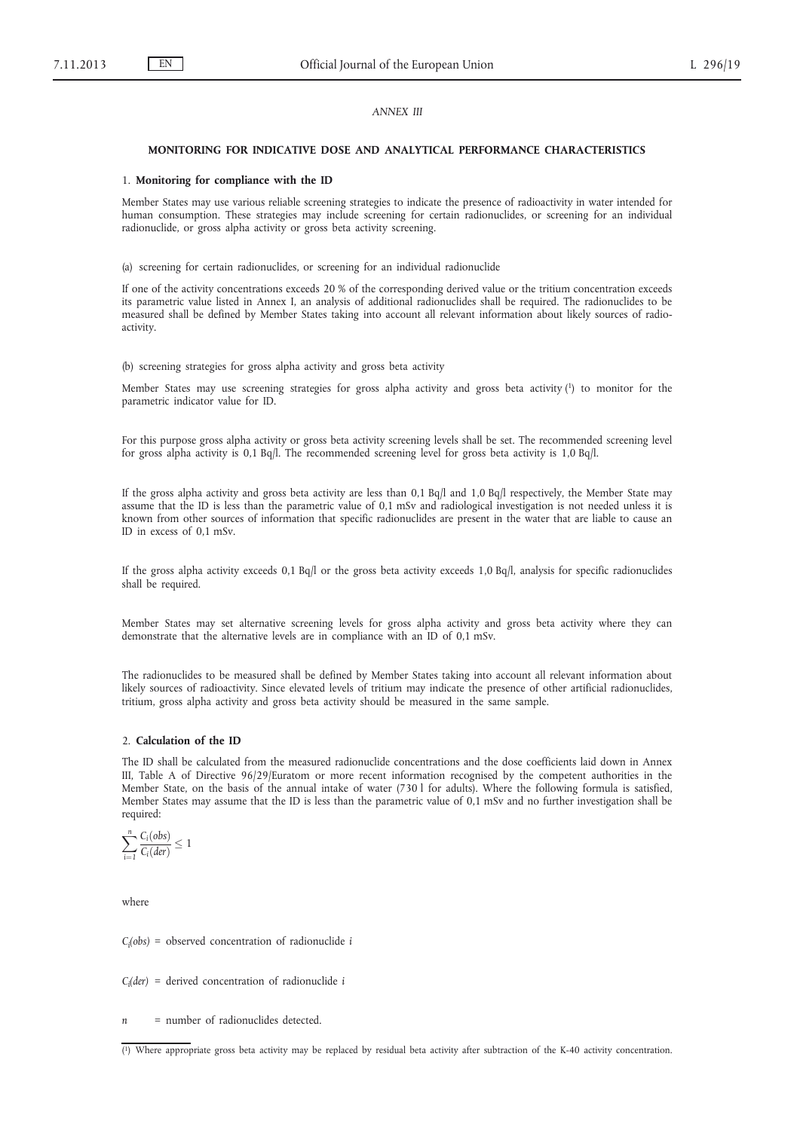# *ANNEX III*

#### **MONITORING FOR INDICATIVE DOSE AND ANALYTICAL PERFORMANCE CHARACTERISTICS**

#### 1. **Monitoring for compliance with the ID**

Member States may use various reliable screening strategies to indicate the presence of radioactivity in water intended for human consumption. These strategies may include screening for certain radionuclides, or screening for an individual radionuclide, or gross alpha activity or gross beta activity screening.

(a) screening for certain radionuclides, or screening for an individual radionuclide

If one of the activity concentrations exceeds 20 % of the corresponding derived value or the tritium concentration exceeds its parametric value listed in Annex I, an analysis of additional radionuclides shall be required. The radionuclides to be measured shall be defined by Member States taking into account all relevant information about likely sources of radioactivity.

(b) screening strategies for gross alpha activity and gross beta activity

Member States may use screening strategies for gross alpha activity and gross beta activity (1) to monitor for the parametric indicator value for ID.

For this purpose gross alpha activity or gross beta activity screening levels shall be set. The recommended screening level for gross alpha activity is 0,1 Bq/l. The recommended screening level for gross beta activity is 1,0 Bq/l.

If the gross alpha activity and gross beta activity are less than 0,1 Bq/l and 1,0 Bq/l respectively, the Member State may assume that the ID is less than the parametric value of 0,1 mSv and radiological investigation is not needed unless it is known from other sources of information that specific radionuclides are present in the water that are liable to cause an ID in excess of 0,1 mSv.

If the gross alpha activity exceeds 0,1 Bq/l or the gross beta activity exceeds 1,0 Bq/l, analysis for specific radionuclides shall be required.

Member States may set alternative screening levels for gross alpha activity and gross beta activity where they can demonstrate that the alternative levels are in compliance with an ID of 0,1 mSv.

The radionuclides to be measured shall be defined by Member States taking into account all relevant information about likely sources of radioactivity. Since elevated levels of tritium may indicate the presence of other artificial radionuclides, tritium, gross alpha activity and gross beta activity should be measured in the same sample.

### 2. **Calculation of the ID**

The ID shall be calculated from the measured radionuclide concentrations and the dose coefficients laid down in Annex III, Table A of Directive 96/29/Euratom or more recent information recognised by the competent authorities in the Member State, on the basis of the annual intake of water (730 l for adults). Where the following formula is satisfied, Member States may assume that the ID is less than the parametric value of 0,1 mSv and no further investigation shall be required:

$$
\sum_{i=1}^n \frac{C_i(\text{obs})}{C_i(\text{der})} \leq 1
$$

where

*Ci (obs) =* observed concentration of radionuclide *i*

*Ci (der) =* derived concentration of radionuclide *i*

*n =* number of radionuclides detected.

<sup>(</sup> 1) Where appropriate gross beta activity may be replaced by residual beta activity after subtraction of the K-40 activity concentration.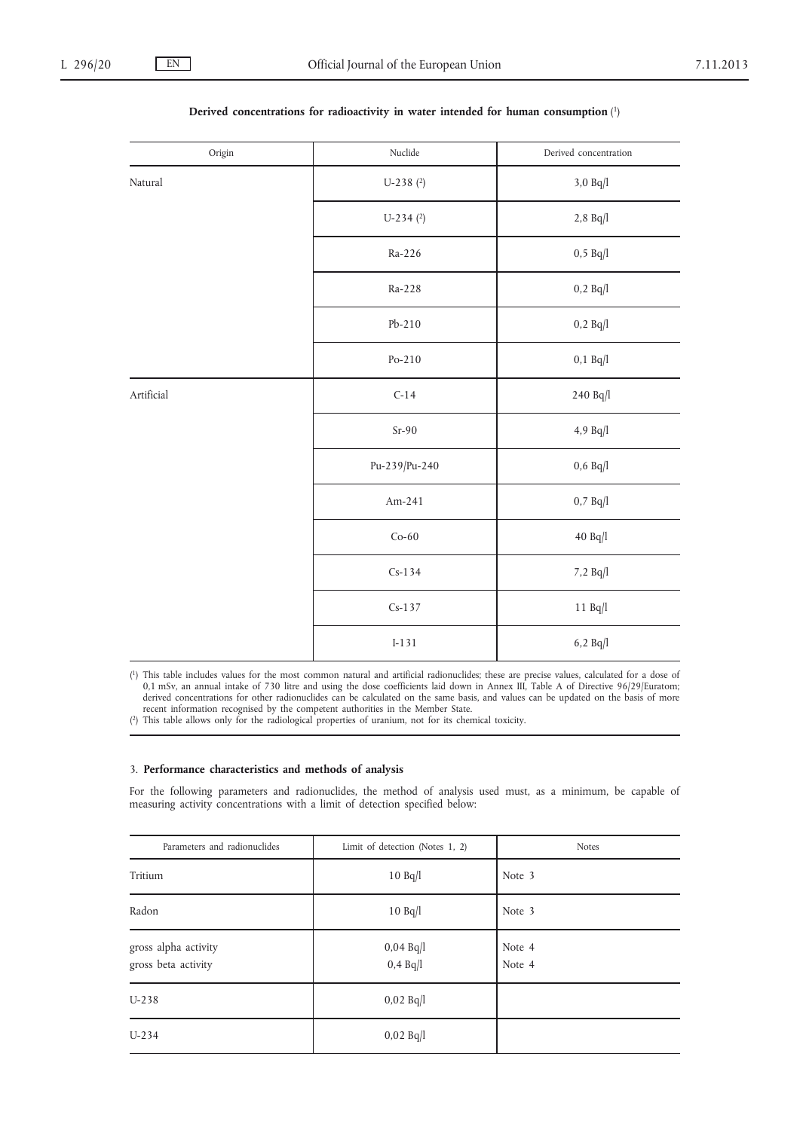| Origin     | Nuclide       | Derived concentration                 |
|------------|---------------|---------------------------------------|
| Natural    | $U-238$ (2)   | $3,0$ Bq/l $\,$                       |
|            | $U-234$ (2)   | $2,8 \ Bq/l$                          |
|            | Ra-226        | $0,5 \ \mathrm{Bq/l}$                 |
|            | Ra-228        | $0,2 \text{ Bq}/l$                    |
|            | $Pb-210$      | 0,2 Bq/l                              |
|            | $Po-210$      | $0,1 \ \mathrm{Bq}/l$                 |
| Artificial | $C-14$        | 240 Bq/l                              |
|            | $Sr-90$       | 4,9 $Bq/l$                            |
|            | Pu-239/Pu-240 | $0,6$ Bq/l                            |
|            | Am-241        | $0,7\ \mathrm{Bq/l}$                  |
|            | $Co-60$       | $40~\mathrm{B} \mathrm{q}/\mathrm{l}$ |
|            | $Cs-134$      | 7,2 Bq/l                              |
|            | $Cs-137$      | $11$ Bq $/l$                          |
|            | $I-131$       | $6,2 \ \mathrm{Bq/l}$                 |

# **Derived concentrations for radioactivity in water intended for human consumption** (1)

( 1) This table includes values for the most common natural and artificial radionuclides; these are precise values, calculated for a dose of 0,1 mSv, an annual intake of 730 litre and using the dose coefficients laid down in Annex III, Table A of Directive 96/29/Euratom; derived concentrations for other radionuclides can be calculated on the same basis, and values can be updated on the basis of more recent information recognised by the competent authorities in the Member State.

( 2) This table allows only for the radiological properties of uranium, not for its chemical toxicity.

# 3. **Performance characteristics and methods of analysis**

For the following parameters and radionuclides, the method of analysis used must, as a minimum, be capable of measuring activity concentrations with a limit of detection specified below:

| Parameters and radionuclides                | Limit of detection (Notes 1, 2)    | <b>Notes</b>     |
|---------------------------------------------|------------------------------------|------------------|
| Tritium                                     | 10 Bq/l                            | Note 3           |
| Radon                                       | 10 Bq/l                            | Note 3           |
| gross alpha activity<br>gross beta activity | $0,04 \text{ Bq}$<br>$0,4$ Bq $ 1$ | Note 4<br>Note 4 |
| $U-238$                                     | $0,02 \text{ Bq}$                  |                  |
| $U - 234$                                   | $0,02 \text{ Bq}$                  |                  |